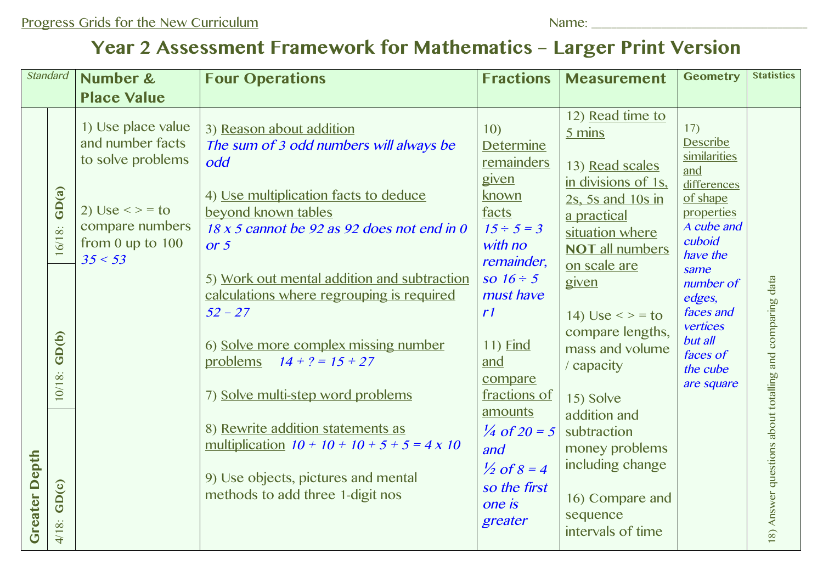## **Year 2 Assessment Framework for Mathematics – Larger Print Version**

| <b>Standard</b>      |                | Number &                                                                             | <b>Four Operations</b>                                                                                                                     | <b>Fractions</b>                                                 | <b>Measurement</b>                                                                                                                 | <b>Geometry</b>                                                                                                            | <b>Statistics</b>                                       |
|----------------------|----------------|--------------------------------------------------------------------------------------|--------------------------------------------------------------------------------------------------------------------------------------------|------------------------------------------------------------------|------------------------------------------------------------------------------------------------------------------------------------|----------------------------------------------------------------------------------------------------------------------------|---------------------------------------------------------|
|                      |                | <b>Place Value</b>                                                                   |                                                                                                                                            |                                                                  |                                                                                                                                    |                                                                                                                            |                                                         |
|                      | GD(a)          | 1) Use place value<br>and number facts<br>to solve problems<br>2) Use $\lt$ $>$ = to | 3) Reason about addition<br>The sum of 3 odd numbers will always be<br>odd<br>4) Use multiplication facts to deduce<br>beyond known tables | 10)<br><b>Determine</b><br>remainders<br>given<br>known<br>facts | 12) Read time to<br>5 mins<br>13) Read scales<br>in divisions of 1s,<br>2s, 5s and 10s in<br>a practical                           | 17)<br><b>Describe</b><br>similarities<br>and<br>differences<br>of shape<br>properties<br>A cube and<br>cuboid<br>have the |                                                         |
|                      | 16/18:         | compare numbers<br>from $0$ up to $100$<br>35 < 53                                   | 18 x 5 cannot be 92 as 92 does not end in 0<br>or $5$                                                                                      | $15 \div 5 = 3$<br>with no<br>remainder,                         | situation where<br><b>NOT all numbers</b><br>on scale are                                                                          |                                                                                                                            |                                                         |
|                      |                |                                                                                      | 5) Work out mental addition and subtraction<br>calculations where regrouping is required<br>$52 - 27$                                      | so $16 \div 5$<br>must have<br>r1                                | given<br>14) Use $\lt$ > = to                                                                                                      | same<br>number of<br>edges,<br>faces and<br>vertices                                                                       |                                                         |
|                      | GD(b)          |                                                                                      | 6) Solve more complex missing number<br>problems<br>$14 + ? = 15 + 27$                                                                     | 11) <b>Find</b><br>and<br>compare                                | compare lengths,<br>mass and volume<br>/ capacity                                                                                  | but all<br>faces of<br>the cube                                                                                            |                                                         |
| <b>Greater Depth</b> | $10/18$ :      |                                                                                      | 7) Solve multi-step word problems                                                                                                          | fractions of<br>amounts                                          | 15) Solve<br>addition and<br>subtraction<br>money problems<br>including change<br>16) Compare and<br>sequence<br>intervals of time | are square                                                                                                                 |                                                         |
|                      | GD(c)<br>4/18: |                                                                                      | 8) Rewrite addition statements as<br>multiplication $10 + 10 + 10 + 5 + 5 = 4 \times 10$                                                   | $\frac{1}{4}$ of 20 = 5<br>and<br>$\frac{1}{2}$ of 8 = 4         |                                                                                                                                    |                                                                                                                            |                                                         |
|                      |                |                                                                                      | 9) Use objects, pictures and mental<br>methods to add three 1-digit nos                                                                    | so the first<br>one is<br>greater                                |                                                                                                                                    |                                                                                                                            | 18) Answer questions about totalling and comparing data |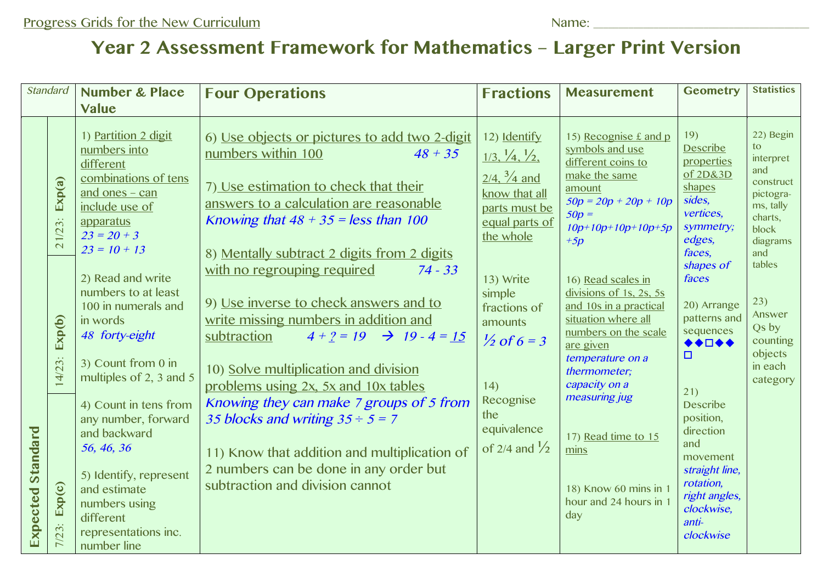## **Year 2 Assessment Framework for Mathematics – Larger Print Version**

| <b>Standard</b>             |                     | <b>Number &amp; Place</b><br><b>Value</b>                                                                                                                                                      | <b>Four Operations</b>                                                                                                                                                                                                                                                                                                                                     | <b>Fractions</b>                                                                                                                                            | <b>Measurement</b>                                                                                                                                                                                        | <b>Geometry</b>                                                                                                                                                                                                                                                                                                                                               | <b>Statistics</b>                                                                                                                                                                                    |
|-----------------------------|---------------------|------------------------------------------------------------------------------------------------------------------------------------------------------------------------------------------------|------------------------------------------------------------------------------------------------------------------------------------------------------------------------------------------------------------------------------------------------------------------------------------------------------------------------------------------------------------|-------------------------------------------------------------------------------------------------------------------------------------------------------------|-----------------------------------------------------------------------------------------------------------------------------------------------------------------------------------------------------------|---------------------------------------------------------------------------------------------------------------------------------------------------------------------------------------------------------------------------------------------------------------------------------------------------------------------------------------------------------------|------------------------------------------------------------------------------------------------------------------------------------------------------------------------------------------------------|
| <b>Standard</b><br>Expected | Exp(a)<br>21/23:    | 1) Partition 2 digit<br>numbers into<br>different<br>combinations of tens<br>and ones - can<br>include use of<br>apparatus<br>$23 = 20 + 3$<br>$23 = 10 + 13$                                  | 6) Use objects or pictures to add two 2-digit<br>numbers within 100<br>$48 + 35$<br>7) Use estimation to check that their<br>answers to a calculation are reasonable<br>Knowing that $48 + 35 =$ less than 100<br>8) Mentally subtract 2 digits from 2 digits                                                                                              | 12) Identify<br>$\frac{1}{3}$ , $\frac{1}{4}$ , $\frac{1}{2}$<br>$2/4$ , $\frac{3}{4}$ and<br>know that all<br>parts must be<br>equal parts of<br>the whole | 15) Recognise £ and p<br>symbols and use<br>different coins to<br>make the same<br>amount<br>$50p = 20p + 20p + 10p$<br>$50p =$<br>$10p+10p+10p+10p+5p$<br>$+5p$                                          | 19)<br><b>Describe</b><br>properties<br>of 2D&3D<br>shapes<br>sides,<br>vertices,<br>symmetry;<br>edges,<br>faces,<br>shapes of<br>faces<br>20) Arrange<br>patterns and<br>sequences<br>◆◆□◆◆<br>□<br>21)<br><b>Describe</b><br>position,<br>direction<br>and<br>movement<br>straight line,<br>rotation,<br>right angles,<br>clockwise,<br>anti-<br>clockwise | 22) Begin<br>to.<br>interpret<br>and<br>construct<br>pictogra-<br>ms, tally<br>charts,<br>block<br>diagrams<br>and<br>tables<br>23)<br>Answer<br>Qs by<br>counting<br>objects<br>in each<br>category |
|                             | Exp(b)<br>$14/23$ : | 2) Read and write<br>numbers to at least<br>100 in numerals and<br>in words<br>48 forty-eight<br>3) Count from 0 in<br>multiples of 2, 3 and 5<br>4) Count in tens from<br>any number, forward | with no regrouping required<br>$74 - 33$<br>9) Use inverse to check answers and to<br>write missing numbers in addition and<br>subtraction<br>$4 + ? = 19$ $\rightarrow$ 19 - 4 = 15<br>10) Solve multiplication and division<br>problems using 2x, 5x and 10x tables<br>Knowing they can make 7 groups of 5 from<br>35 blocks and writing $35 \div 5 = 7$ | 13) Write<br>simple<br>fractions of<br>amounts<br>$\frac{1}{2}$ of 6 = 3<br>14)<br>Recognise<br>the                                                         | 16) Read scales in<br>divisions of 1s, 2s, 5s<br>and 10s in a practical<br>situation where all<br>numbers on the scale<br>are given<br>temperature on a<br>thermometer;<br>capacity on a<br>measuring jug |                                                                                                                                                                                                                                                                                                                                                               |                                                                                                                                                                                                      |
|                             | Exp(c)<br>$7/23$ :  | and backward<br>56, 46, 36<br>5) Identify, represent<br>and estimate<br>numbers using<br>different<br>representations inc.<br>number line                                                      | 11) Know that addition and multiplication of<br>2 numbers can be done in any order but<br>subtraction and division cannot                                                                                                                                                                                                                                  | equivalence<br>of 2/4 and $\frac{1}{2}$                                                                                                                     | 17) Read time to 15<br>mins<br>18) Know 60 mins in 1<br>hour and 24 hours in<br>day                                                                                                                       |                                                                                                                                                                                                                                                                                                                                                               |                                                                                                                                                                                                      |